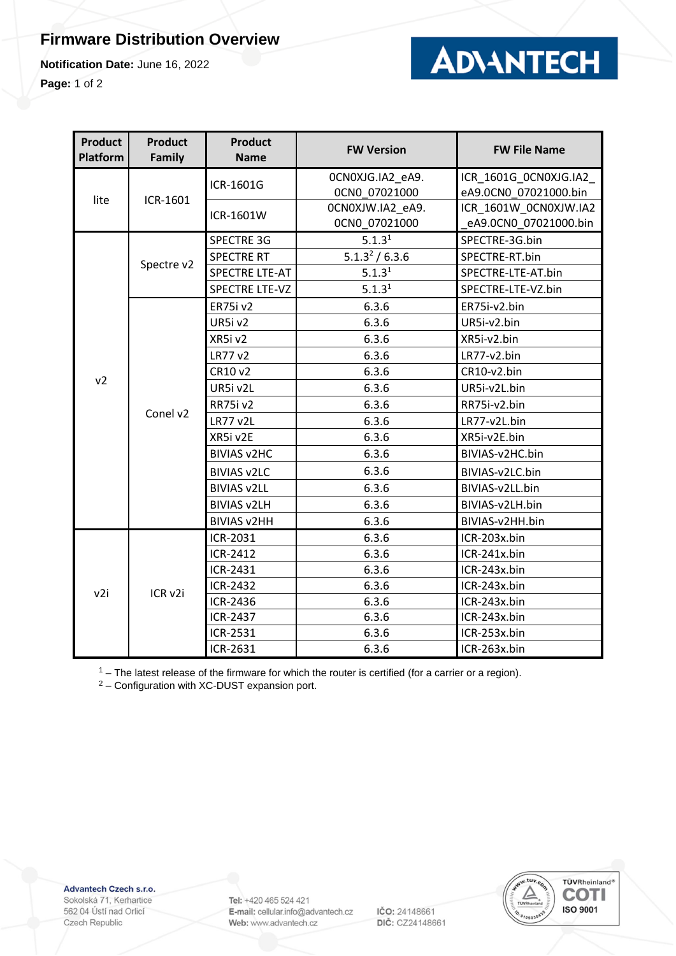## **Firmware Distribution Overview**

**Notification Date:** June 16, 2022

**Page:** 1 of 2



| <b>Product</b><br>Platform | <b>Product</b><br>Family | <b>Product</b><br><b>Name</b> | <b>FW Version</b>          | <b>FW File Name</b>   |
|----------------------------|--------------------------|-------------------------------|----------------------------|-----------------------|
| lite                       | ICR-1601                 | ICR-1601G                     | OCNOXJG.IA2 eA9.           | ICR 1601G OCNOXJG.IA2 |
|                            |                          |                               | OCNO 07021000              | eA9.0CN0 07021000.bin |
|                            |                          | ICR-1601W                     | OCNOXJW.IA2_eA9.           | ICR 1601W OCNOXJW.IA2 |
|                            |                          |                               | OCNO 07021000              | eA9.0CN0 07021000.bin |
| v <sub>2</sub>             | Spectre v2               | <b>SPECTRE 3G</b>             | 5.1.3 <sup>1</sup>         | SPECTRE-3G.bin        |
|                            |                          | <b>SPECTRE RT</b>             | 5.1.3 <sup>2</sup> / 6.3.6 | SPECTRE-RT.bin        |
|                            |                          | <b>SPECTRE LTE-AT</b>         | 5.1.3 <sup>1</sup>         | SPECTRE-LTE-AT.bin    |
|                            |                          | <b>SPECTRE LTE-VZ</b>         | 5.1.3 <sup>1</sup>         | SPECTRE-LTE-VZ.bin    |
|                            | Conel v2                 | ER75i v2                      | 6.3.6                      | ER75i-v2.bin          |
|                            |                          | UR5i v2                       | 6.3.6                      | UR5i-v2.bin           |
|                            |                          | XR5iv2                        | 6.3.6                      | XR5i-v2.bin           |
|                            |                          | LR77 v2                       | 6.3.6                      | LR77-v2.bin           |
|                            |                          | CR10 v2                       | 6.3.6                      | CR10-v2.bin           |
|                            |                          | UR5i v2L                      | 6.3.6                      | UR5i-v2L.bin          |
|                            |                          | RR75i v2                      | 6.3.6                      | RR75i-v2.bin          |
|                            |                          | <b>LR77 v2L</b>               | 6.3.6                      | LR77-v2L.bin          |
|                            |                          | XR5i v2E                      | 6.3.6                      | XR5i-v2E.bin          |
|                            |                          | <b>BIVIAS v2HC</b>            | 6.3.6                      | BIVIAS-v2HC.bin       |
|                            |                          | <b>BIVIAS v2LC</b>            | 6.3.6                      | BIVIAS-v2LC.bin       |
|                            |                          | <b>BIVIAS v2LL</b>            | 6.3.6                      | BIVIAS-v2LL.bin       |
|                            |                          | <b>BIVIAS v2LH</b>            | 6.3.6                      | BIVIAS-v2LH.bin       |
|                            |                          | <b>BIVIAS v2HH</b>            | 6.3.6                      | BIVIAS-v2HH.bin       |
| v2i                        | ICR <sub>v2i</sub>       | ICR-2031                      | 6.3.6                      | ICR-203x.bin          |
|                            |                          | ICR-2412                      | 6.3.6                      | ICR-241x.bin          |
|                            |                          | ICR-2431                      | 6.3.6                      | ICR-243x.bin          |
|                            |                          | ICR-2432                      | 6.3.6                      | ICR-243x.bin          |
|                            |                          | ICR-2436                      | 6.3.6                      | ICR-243x.bin          |
|                            |                          | ICR-2437                      | 6.3.6                      | ICR-243x.bin          |
|                            |                          | ICR-2531                      | 6.3.6                      | ICR-253x.bin          |
|                            |                          | ICR-2631                      | 6.3.6                      | ICR-263x.bin          |

 $1 -$  The latest release of the firmware for which the router is certified (for a carrier or a region).

<sup>2</sup> – Configuration with XC-DUST expansion port.

Advantech Czech s.r.o.

Sokolská 71, Kerhartice 562 04 Ústí nad Orlicí Czech Republic

Tel: +420 465 524 421 E-mail: cellular.info@advantech.cz Web: www.advantech.cz

IČO: 24148661 DIČ: CZ24148661